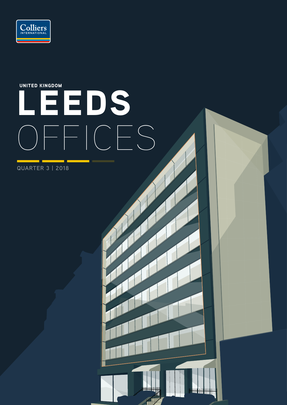

# EEDS OFFICES UNITED KINGDOM

<sup>Hij</sup> Hij Hij H

**Hilly** 

**QUARTER 3 | 2018**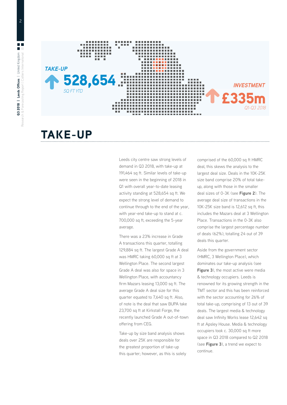

### TAKE-UP

700,000 sq ft, exceeding the 5-year with year-end take-up to stand at c. Leeds city centre saw strong levels of demand in Q3 2018, with take-up at 191,464 sq ft. Similar levels of take-up were seen in the beginning of 2018 in Q1 with overall year-to-date leasing activity standing at 528,654 sq ft. We expect the strong level of demand to continue through to the end of the year, average.

There was a 23% increase in Grade A transactions this quarter, totalling 129,884 sq ft. The largest Grade A deal was HMRC taking 60,000 sq ft at 3 Wellington Place. The second largest Grade A deal was also for space in 3 Wellington Place, with accountancy firm Mazars leasing 13,000 sq ft. The average Grade A deal size for this quarter equated to 7,640 sq ft. Also, of note is the deal that saw BUPA take 23,700 sq ft at Kirkstall Forge, the recently launched Grade A out-of-town offering from CEG.

Take-up by size band analysis shows deals over 25K are responsible for the greatest proportion of take-up this quarter; however, as this is solely comprised of the 60,000 sq ft HMRC deal, this skews the analysis to the largest deal size. Deals in the 10K-25K size band comprise 20% of total takeup, along with those in the smaller deal sizes of 0-3K (see **Figure 2**). The average deal size of transactions in the 10K-25K size band is 12,612 sq ft, this includes the Mazars deal at 3 Wellington Place. Transactions in the 0-3K also comprise the largest percentage number of deals (62%), totalling 24 out of 39 deals this quarter.

Aside from the government sector (HMRC, 3 Wellington Place), which dominates our take-up analysis (see **Figure 3**), the most active were media & technology occupiers. Leeds is renowned for its growing strength in the TMT sector and this has been reinforced with the sector accounting for 26% of total take-up, comprising of 13 out of 39 deals. The largest media & technology deal saw Infinity Works lease 12,642 sq ft at Apsley House. Media & technology occupiers took c. 30,000 sq ft more space in Q3 2018 compared to Q2 2018 (see **Figure 3**), a trend we expect to continue.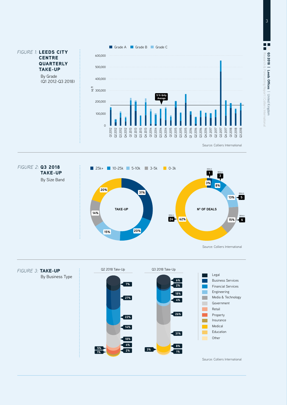





H Q3 2018 | Leeds Offices | United Kingdom Q3 2018

| United Kingdom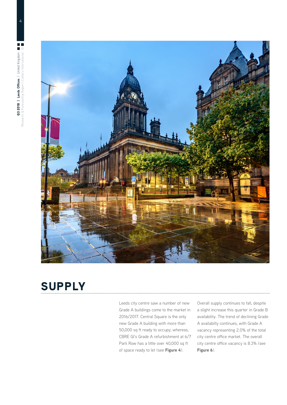

# SUPPLY

Leeds city centre saw a number of new Grade A buildings come to the market in 2016/2017. Central Square is the only new Grade A building with more than 50,000 sq ft ready to occupy; whereas, CBRE GI's Grade A refurbishment at 6/7 Park Row has a little over 40,000 sq ft of space ready to let (see **Figure 4**).

Overall supply continues to fall, despite a slight increase this quarter in Grade B availability. The trend of declining Grade A availabilty continues, with Grade A vacancy representing 2.0% of the total city centre office market. The overall city centre office vacancy is 8.3% (see **Figure 6**).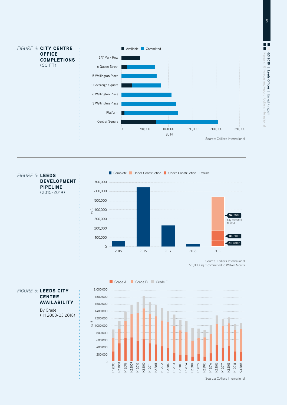H Q3 2018 | Leeds Offices | United Kingdom Research & Forecasting Report | Colliers International Q3 2018 **| Leeds Offices** | United Kingdom







#### *FIGURE 6:* LEEDS CITY **CENTRE** AVAILABILITY

By Grade (H1 2008-Q3 2018)

Source: Colliers International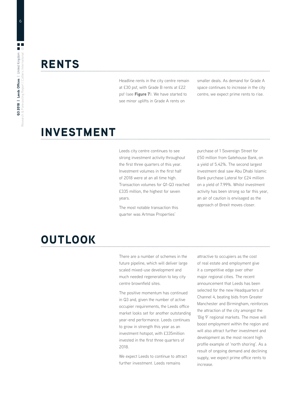# **RENTS**

Headline rents in the city centre remain at £30 psf, with Grade B rents at £22 psf (see **Figure 7**). We have started to see minor uplifts in Grade A rents on

smaller deals. As demand for Grade A space continues to increase in the city centre, we expect prime rents to rise.

### INVESTMENT

Leeds city centre continues to see strong investment activity throughout the first three quarters of this year. Investment volumes in the first half of 2018 were at an all time high. Transaction volumes for Q1-Q3 reached £335 million, the highest for seven years.

The most notable transaction this quarter was Artmax Properties'

purchase of 1 Sovereign Street for £50 million from Gatehouse Bank, on a yield of 5.42%. The second largest investment deal saw Abu Dhabi Islamic Bank purchase Lateral for £24 million on a yield of 7.99%. Whilst investment activity has been strong so far this year, an air of caution is envisaged as the approach of Brexit moves closer.

# **OUTLOOK**

There are a number of schemes in the future pipeline, which will deliver large scaled mixed-use development and much needed regeneration to key city centre brownfield sites.

The positive momentum has continued in Q3 and, given the number of active occupier requirements, the Leeds office market looks set for another outstanding year-end performance. Leeds continues to grow in strength this year as an investment hotspot, with £335million invested in the first three quarters of 2018.

We expect Leeds to continue to attract further investment. Leeds remains

attractive to occupiers as the cost of real estate and employment give it a competitive edge over other major regional cities. The recent announcement that Leeds has been selected for the new Headquarters of Channel 4, beating bids from Greater Manchester and Birmingham, reinforces the attraction of the city amongst the 'Big 9' regional markets. The move will boost employment within the region and will also attract further investment and development as the most recent high profile example of 'north shoring'. As a result of ongoing demand and declining supply, we expect prime office rents to increase.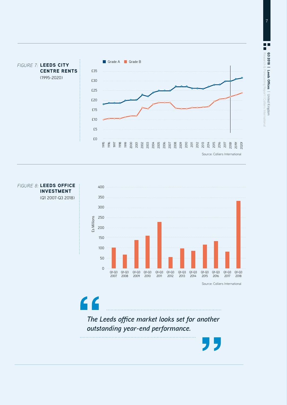



*FIGURE 8:* LEEDS OFFICE INVESTMENT (Q1 2007-Q3 2018)

 $\epsilon$